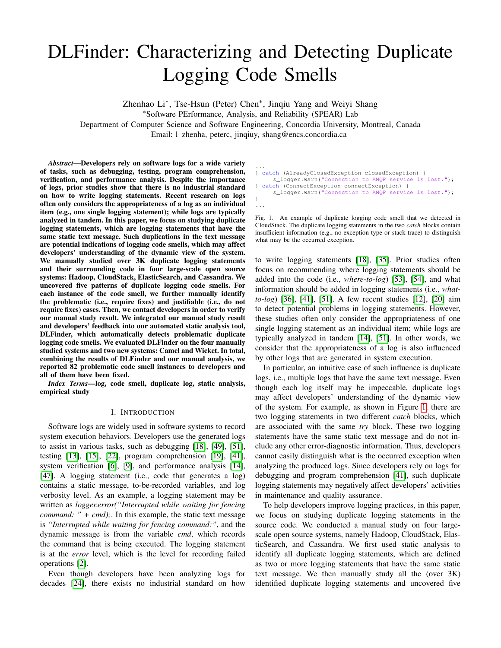# DLFinder: Characterizing and Detecting Duplicate Logging Code Smells

Zhenhao Li<sup>\*</sup>, Tse-Hsun (Peter) Chen<sup>\*</sup>, Jinqiu Yang and Weiyi Shang <sup>∗</sup>Software PErformance, Analysis, and Reliability (SPEAR) Lab Department of Computer Science and Software Engineering, Concordia University, Montreal, Canada Email: l\_zhenha, peterc, jinqiuy, shang@encs.concordia.ca

*Abstract*—Developers rely on software logs for a wide variety of tasks, such as debugging, testing, program comprehension, verification, and performance analysis. Despite the importance of logs, prior studies show that there is no industrial standard on how to write logging statements. Recent research on logs often only considers the appropriateness of a log as an individual item (e.g., one single logging statement); while logs are typically analyzed in tandem. In this paper, we focus on studying duplicate logging statements, which are logging statements that have the same static text message. Such duplications in the text message are potential indications of logging code smells, which may affect developers' understanding of the dynamic view of the system. We manually studied over 3K duplicate logging statements and their surrounding code in four large-scale open source systems: Hadoop, CloudStack, ElasticSearch, and Cassandra. We uncovered five patterns of duplicate logging code smells. For each instance of the code smell, we further manually identify the problematic (i.e., require fixes) and justifiable (i.e., do not require fixes) cases. Then, we contact developers in order to verify our manual study result. We integrated our manual study result and developers' feedback into our automated static analysis tool, DLFinder, which automatically detects problematic duplicate logging code smells. We evaluated DLFinder on the four manually studied systems and two new systems: Camel and Wicket. In total, combining the results of DLFinder and our manual analysis, we reported 82 problematic code smell instances to developers and all of them have been fixed.

*Index Terms*—log, code smell, duplicate log, static analysis, empirical study

#### I. INTRODUCTION

Software logs are widely used in software systems to record system execution behaviors. Developers use the generated logs to assist in various tasks, such as debugging [\[18\]](#page-10-0), [\[49\]](#page-11-0), [\[51\]](#page-11-1), testing [\[13\]](#page-10-1), [\[15\]](#page-10-2), [\[22\]](#page-10-3), program comprehension [\[19\]](#page-10-4), [\[41\]](#page-10-5), system verification [\[6\]](#page-10-6), [\[9\]](#page-10-7), and performance analysis [\[14\]](#page-10-8), [\[47\]](#page-11-2). A logging statement (i.e., code that generates a log) contains a static message, to-be-recorded variables, and log verbosity level. As an example, a logging statement may be written as *logger.error("Interrupted while waiting for fencing command:* " + *cmd*); In this example, the static text message is *"Interrupted while waiting for fencing command:"*, and the dynamic message is from the variable *cmd*, which records the command that is being executed. The logging statement is at the *error* level, which is the level for recording failed operations [\[2\]](#page-10-9).

Even though developers have been analyzing logs for decades [\[24\]](#page-10-10), there exists no industrial standard on how

| $\cdots$ |                                                       |  |
|----------|-------------------------------------------------------|--|
|          | } catch (AlreadyClosedException closedException) {    |  |
|          | s logger.warn("Connection to AMOP service is lost."); |  |
|          | } catch (ConnectException connectException) {         |  |

```
s logger.warn("Connection to AMOP service is lost.");
```
}

<span id="page-0-0"></span>Fig. 1. An example of duplicate logging code smell that we detected in CloudStack. The duplicate logging statements in the two *catch* blocks contain insufficient information (e.g., no exception type or stack trace) to distinguish what may be the occurred exception.

to write logging statements [\[18\]](#page-10-0), [\[35\]](#page-10-11). Prior studies often focus on recommending where logging statements should be added into the code (i.e., *where-to-log*) [\[53\]](#page-11-3), [\[54\]](#page-11-4), and what information should be added in logging statements (i.e., *whatto-log*) [\[36\]](#page-10-12), [\[41\]](#page-10-5), [\[51\]](#page-11-1). A few recent studies [\[12\]](#page-10-13), [\[20\]](#page-10-14) aim to detect potential problems in logging statements. However, these studies often only consider the appropriateness of one single logging statement as an individual item; while logs are typically analyzed in tandem [\[14\]](#page-10-8), [\[51\]](#page-11-1). In other words, we consider that the appropriateness of a log is also influenced by other logs that are generated in system execution.

In particular, an intuitive case of such influence is duplicate logs, i.e., multiple logs that have the same text message. Even though each log itself may be impeccable, duplicate logs may affect developers' understanding of the dynamic view of the system. For example, as shown in Figure [1,](#page-0-0) there are two logging statements in two different *catch* blocks, which are associated with the same *try* block. These two logging statements have the same static text message and do not include any other error-diagnostic information. Thus, developers cannot easily distinguish what is the occurred exception when analyzing the produced logs. Since developers rely on logs for debugging and program comprehension [\[41\]](#page-10-5), such duplicate logging statements may negatively affect developers' activities in maintenance and quality assurance.

To help developers improve logging practices, in this paper, we focus on studying duplicate logging statements in the source code. We conducted a manual study on four largescale open source systems, namely Hadoop, CloudStack, ElasticSearch, and Cassandra. We first used static analysis to identify all duplicate logging statements, which are defined as two or more logging statements that have the same static text message. We then manually study all the (over 3K) identified duplicate logging statements and uncovered five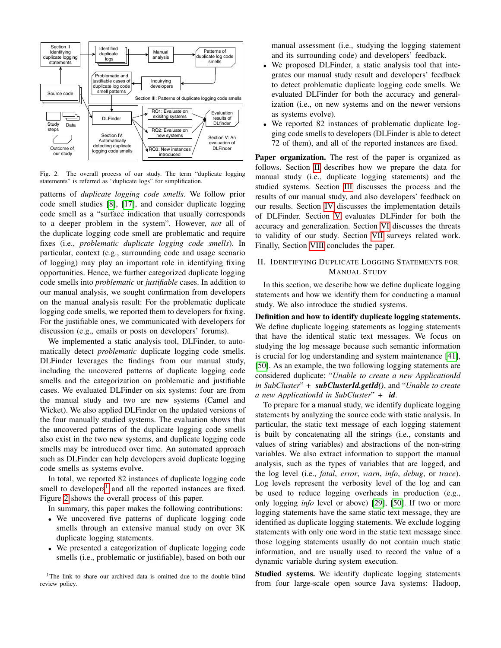

<span id="page-1-1"></span>Fig. 2. The overall process of our study. The term "duplicate logging statements" is referred as "duplicate logs" for simplification.

patterns of *duplicate logging code smells*. We follow prior code smell studies [\[8\]](#page-10-15), [\[17\]](#page-10-16), and consider duplicate logging code smell as a "surface indication that usually corresponds to a deeper problem in the system". However, *not* all of the duplicate logging code smell are problematic and require fixes (i.e., *problematic duplicate logging code smells*). In particular, context (e.g., surrounding code and usage scenario of logging) may play an important role in identifying fixing opportunities. Hence, we further categorized duplicate logging code smells into *problematic* or *justifiable* cases. In addition to our manual analysis, we sought confirmation from developers on the manual analysis result: For the problematic duplicate logging code smells, we reported them to developers for fixing. For the justifiable ones, we communicated with developers for discussion (e.g., emails or posts on developers' forums).

We implemented a static analysis tool, DLFinder, to automatically detect *problematic* duplicate logging code smells. DLFinder leverages the findings from our manual study, including the uncovered patterns of duplicate logging code smells and the categorization on problematic and justifiable cases. We evaluated DLFinder on six systems: four are from the manual study and two are new systems (Camel and Wicket). We also applied DLFinder on the updated versions of the four manually studied systems. The evaluation shows that the uncovered patterns of the duplicate logging code smells also exist in the two new systems, and duplicate logging code smells may be introduced over time. An automated approach such as DLFinder can help developers avoid duplicate logging code smells as systems evolve.

In total, we reported 82 instances of duplicate logging code smell to developers<sup>[1](#page-1-0)</sup> and all the reported instances are fixed. Figure [2](#page-1-1) shows the overall process of this paper.

In summary, this paper makes the following contributions:

- We uncovered five patterns of duplicate logging code smells through an extensive manual study on over 3K duplicate logging statements.
- We presented a categorization of duplicate logging code smells (i.e., problematic or justifiable), based on both our

<span id="page-1-0"></span><sup>1</sup>The link to share our archived data is omitted due to the double blind review policy.

manual assessment (i.e., studying the logging statement and its surrounding code) and developers' feedback.

- We proposed DLFinder, a static analysis tool that integrates our manual study result and developers' feedback to detect problematic duplicate logging code smells. We evaluated DLFinder for both the accuracy and generalization (i.e., on new systems and on the newer versions as systems evolve).
- We reported 82 instances of problematic duplicate logging code smells to developers (DLFinder is able to detect 72 of them), and all of the reported instances are fixed.

Paper organization. The rest of the paper is organized as follows. Section [II](#page-1-2) describes how we prepare the data for manual study (i.e., duplicate logging statements) and the studied systems. Section [III](#page-2-0) discusses the process and the results of our manual study, and also developers' feedback on our results. Section [IV](#page-6-0) discusses the implementation details of DLFinder. Section [V](#page-7-0) evaluates DLFinder for both the accuracy and generalization. Section [VI](#page-8-0) discusses the threats to validity of our study. Section [VII](#page-9-0) surveys related work. Finally, Section [VIII](#page-9-1) concludes the paper.

# <span id="page-1-2"></span>II. IDENTIFYING DUPLICATE LOGGING STATEMENTS FOR MANUAL STUDY

In this section, we describe how we define duplicate logging statements and how we identify them for conducting a manual study. We also introduce the studied systems.

Definition and how to identify duplicate logging statements. We define duplicate logging statements as logging statements that have the identical static text messages. We focus on studying the log message because such semantic information is crucial for log understanding and system maintenance [\[41\]](#page-10-5), [\[50\]](#page-11-5). As an example, the two following logging statements are considered duplicate: "*Unable to create a new ApplicationId in SubCluster*" *+ subClusterId.getId()*, and "*Unable to create a new ApplicationId in SubCluster*" *+ id*.

To prepare for a manual study, we identify duplicate logging statements by analyzing the source code with static analysis. In particular, the static text message of each logging statement is built by concatenating all the strings (i.e., constants and values of string variables) and abstractions of the non-string variables. We also extract information to support the manual analysis, such as the types of variables that are logged, and the log level (i.e., *fatal*, *error*, *warn*, *info*, *debug*, or *trace*). Log levels represent the verbosity level of the log and can be used to reduce logging overheads in production (e.g., only logging *info* level or above) [\[29\]](#page-10-17), [\[50\]](#page-11-5). If two or more logging statements have the same static text message, they are identified as duplicate logging statements. We exclude logging statements with only one word in the static text message since those logging statements usually do not contain much static information, and are usually used to record the value of a dynamic variable during system execution.

Studied systems. We identify duplicate logging statements from four large-scale open source Java systems: Hadoop,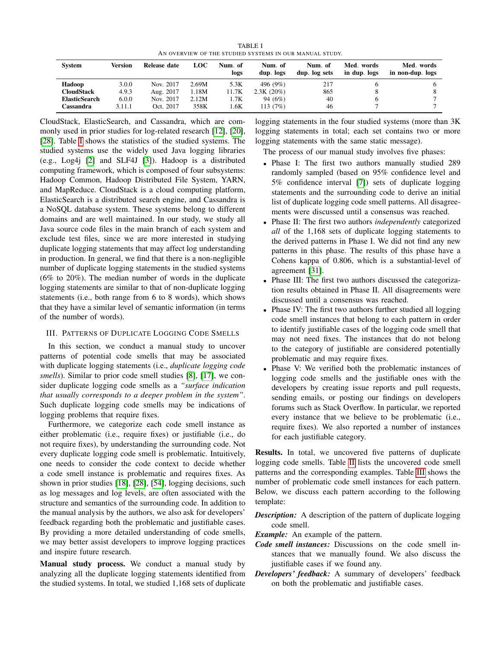TABLE I AN OVERVIEW OF THE STUDIED SYSTEMS IN OUR MANUAL STUDY.

<span id="page-2-1"></span>

| System               | Version | Release date | <b>LOC</b> | Num. of<br>logs | Num. of<br>dup. logs | Num. of<br>dup. log sets | Med. words<br>in dup. logs | Med. words<br>in non-dup. logs |
|----------------------|---------|--------------|------------|-----------------|----------------------|--------------------------|----------------------------|--------------------------------|
| Hadoop               | 3.0.0   | Nov. 2017    | 2.69M      | 5.3K            | 496 (9%)             | 217                      |                            |                                |
| <b>CloudStack</b>    | 4.9.3   | Aug. 2017    | 1.18M      | 11.7K           | $2.3K(20\%)$         | 865                      |                            |                                |
| <b>ElasticSearch</b> | 6.0.0   | Nov. 2017    | 2.12M      | 1.7K            | 94 (6%)              | 40                       |                            |                                |
| Cassandra            | 3.11.1  | Oct. 2017    | 358K       | .6K             | 113 (7%)             | 46                       |                            |                                |

CloudStack, ElasticSearch, and Cassandra, which are commonly used in prior studies for log-related research [\[12\]](#page-10-13), [\[20\]](#page-10-14), [\[28\]](#page-10-18). Table [I](#page-2-1) shows the statistics of the studied systems. The studied systems use the widely used Java logging libraries (e.g., Log4j [\[2\]](#page-10-9) and SLF4J [\[3\]](#page-10-19)). Hadoop is a distributed computing framework, which is composed of four subsystems: Hadoop Common, Hadoop Distributed File System, YARN, and MapReduce. CloudStack is a cloud computing platform, ElasticSearch is a distributed search engine, and Cassandra is a NoSQL database system. These systems belong to different domains and are well maintained. In our study, we study all Java source code files in the main branch of each system and exclude test files, since we are more interested in studying duplicate logging statements that may affect log understanding in production. In general, we find that there is a non-negligible number of duplicate logging statements in the studied systems (6% to 20%). The median number of words in the duplicate logging statements are similar to that of non-duplicate logging statements (i.e., both range from 6 to 8 words), which shows that they have a similar level of semantic information (in terms of the number of words).

# <span id="page-2-0"></span>III. PATTERNS OF DUPLICATE LOGGING CODE SMELLS

In this section, we conduct a manual study to uncover patterns of potential code smells that may be associated with duplicate logging statements (i.e., *duplicate logging code smells*). Similar to prior code smell studies [\[8\]](#page-10-15), [\[17\]](#page-10-16), we consider duplicate logging code smells as a *"surface indication that usually corresponds to a deeper problem in the system"*. Such duplicate logging code smells may be indications of logging problems that require fixes.

Furthermore, we categorize each code smell instance as either problematic (i.e., require fixes) or justifiable (i.e., do not require fixes), by understanding the surrounding code. Not every duplicate logging code smell is problematic. Intuitively, one needs to consider the code context to decide whether a code smell instance is problematic and requires fixes. As shown in prior studies [\[18\]](#page-10-0), [\[28\]](#page-10-18), [\[54\]](#page-11-4), logging decisions, such as log messages and log levels, are often associated with the structure and semantics of the surrounding code. In addition to the manual analysis by the authors, we also ask for developers' feedback regarding both the problematic and justifiable cases. By providing a more detailed understanding of code smells, we may better assist developers to improve logging practices and inspire future research.

Manual study process. We conduct a manual study by analyzing all the duplicate logging statements identified from the studied systems. In total, we studied 1,168 sets of duplicate logging statements in the four studied systems (more than 3K logging statements in total; each set contains two or more logging statements with the same static message).

The process of our manual study involves five phases:

- Phase I: The first two authors manually studied 289 randomly sampled (based on 95% confidence level and 5% confidence interval [\[7\]](#page-10-20)) sets of duplicate logging statements and the surrounding code to derive an initial list of duplicate logging code smell patterns. All disagreements were discussed until a consensus was reached.
- Phase II: The first two authors *independently* categorized *all* of the 1,168 sets of duplicate logging statements to the derived patterns in Phase I. We did not find any new patterns in this phase. The results of this phase have a Cohens kappa of 0.806, which is a substantial-level of agreement [\[31\]](#page-10-21).
- Phase III: The first two authors discussed the categorization results obtained in Phase II. All disagreements were discussed until a consensus was reached.
- Phase IV: The first two authors further studied all logging code smell instances that belong to each pattern in order to identify justifiable cases of the logging code smell that may not need fixes. The instances that do not belong to the category of justifiable are considered potentially problematic and may require fixes.
- Phase V: We verified both the problematic instances of logging code smells and the justifiable ones with the developers by creating issue reports and pull requests, sending emails, or posting our findings on developers forums such as Stack Overflow. In particular, we reported every instance that we believe to be problematic (i.e., require fixes). We also reported a number of instances for each justifiable category.

Results. In total, we uncovered five patterns of duplicate logging code smells. Table [II](#page-3-0) lists the uncovered code smell patterns and the corresponding examples. Table [III](#page-4-0) shows the number of problematic code smell instances for each pattern. Below, we discuss each pattern according to the following template:

*Description:* A description of the pattern of duplicate logging code smell.

*Example:* An example of the pattern.

- *Code smell instances:* Discussions on the code smell instances that we manually found. We also discuss the justifiable cases if we found any.
- *Developers' feedback:* A summary of developers' feedback on both the problematic and justifiable cases.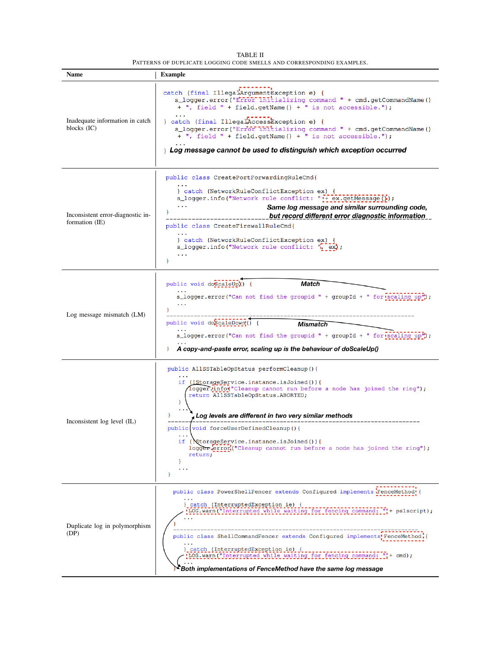<span id="page-3-0"></span>

| <b>Name</b>                                         | <b>Example</b>                                                                                                                                                                                                              |
|-----------------------------------------------------|-----------------------------------------------------------------------------------------------------------------------------------------------------------------------------------------------------------------------------|
| Inadequate information in catch                     | catch (final IllegalArgumentException e) {<br>s_logger.error("Error initializing command " + cmd.getCommandName()<br>+ ", field " + field.getName() + " is not accessible.");<br>} catch (final IllegalAccessException e) { |
| blocks $(IC)$                                       | s_logger.error("Error Initializing command " + cmd.getCommandName()<br>+ ", field " + field.getName() + " is not accessible.");                                                                                             |
|                                                     | $\frac{1}{2}$ Log message cannot be used to distinguish which exception occurred                                                                                                                                            |
|                                                     | public class CreatePortForwardingRuleCmd{                                                                                                                                                                                   |
|                                                     | } catch (NetworkRuleConflictException ex) {<br>s_logger.info("Network rule conflict: "[+ ex.getMessage[]]);<br>Same log message and similar surrounding code,                                                               |
| Inconsistent error-diagnostic in-<br>formation (IE) | but record different error diagnostic information                                                                                                                                                                           |
|                                                     | public class CreateFirewallRuleCmd{<br>$\ddotsc$                                                                                                                                                                            |
|                                                     | } catch (NetworkRuleConflictException ex) {<br>s_logger.info("Network rule conflict: ", ex);<br>$\ddotsc$                                                                                                                   |
|                                                     | ₿                                                                                                                                                                                                                           |
|                                                     | Match<br>public void doScaleUp() {                                                                                                                                                                                          |
|                                                     | s_logger.error("Can not find the groupid " + groupId + " for scaling up");                                                                                                                                                  |
| Log message mismatch (LM)                           | public void doScaleDown() {<br>Mismatch                                                                                                                                                                                     |
|                                                     | s_logger.error("Can not find the groupid " + groupId + " for scaling up");                                                                                                                                                  |
|                                                     | A copy-and-paste error, scaling up is the behaviour of doScaleUp()<br>$\mathbf{F}$                                                                                                                                          |
|                                                     | public AllSSTableOpStatus performCleanup(){                                                                                                                                                                                 |
|                                                     | if (!StorageService.instance.isJoined()){<br>loggerlinfo("Cleanup cannot run before a node has joined the ring");<br>return AllSSTableOpStatus.ABORTED;<br>Ł                                                                |
|                                                     | Log levels are different in two very similar methods                                                                                                                                                                        |
| Inconsistent log level (IL)                         | public void forceUserDefinedCleanup() {                                                                                                                                                                                     |
|                                                     | $\cdots$<br>if (NtorageService.instance.isJoined()){<br>logger:error("Cleanup cannot run before a node has joined the ring");<br>return;                                                                                    |
|                                                     | ł<br>$\ddotsc$<br>ł                                                                                                                                                                                                         |
|                                                     | public class PowerShellFencer extends Configured implements FenceMethod {                                                                                                                                                   |
|                                                     | } catch (InterruptedException ie) {<br>'LOG.warn ("Interrupted while waiting for fencing command: "'+ ps1script);                                                                                                           |
| Duplicate log in polymorphism<br>(DP)               | public class ShellCommandFencer extends Configured implements FenceMethod {                                                                                                                                                 |
|                                                     | } catch (InterruptedException ie) {<br>'LOG.warn ("Interrupted while waiting for fencing command: " + cmd) ;                                                                                                                |
|                                                     | PFBoth implementations of FenceMethod have the same log message                                                                                                                                                             |

TABLE II PATTERNS OF DUPLICATE LOGGING CODE SMELLS AND CORRESPONDING EXAMPLES.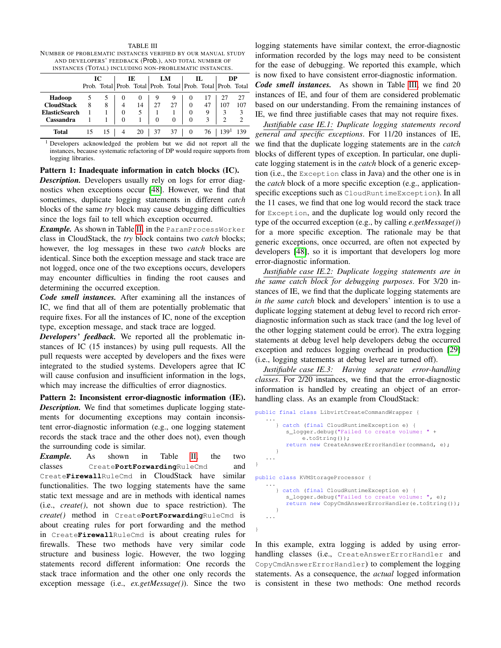| AND DEVELOPERS' FEEDBACK (Prob.), AND TOTAL NUMBER OF<br>INSTANCES (TOTAL) INCLUDING NON-PROBLEMATIC INSTANCES. |   |  |   |    |                                                                     |    |          |    |     |     |  |  |
|-----------------------------------------------------------------------------------------------------------------|---|--|---|----|---------------------------------------------------------------------|----|----------|----|-----|-----|--|--|
| Ю<br>DP<br>IE<br>LM<br>П.                                                                                       |   |  |   |    |                                                                     |    |          |    |     |     |  |  |
|                                                                                                                 |   |  |   |    | Prob. Total   Prob. Total   Prob. Total   Prob. Total   Prob. Total |    |          |    |     |     |  |  |
| Hadoop                                                                                                          |   |  |   | 0  |                                                                     | 9  |          |    |     | 27  |  |  |
| <b>CloudStack</b>                                                                                               | 8 |  |   | 14 | 27                                                                  | 27 | $\Omega$ | 47 | 107 | 107 |  |  |
| <b>ElasticSearch</b>                                                                                            |   |  | 0 | 5  |                                                                     |    | 0        | Q  |     |     |  |  |
| Cassandra                                                                                                       |   |  |   |    |                                                                     |    |          |    | ∍   |     |  |  |

<span id="page-4-0"></span>TABLE III NUMBER OF PROBLEMATIC INSTANCES VERIFIED BY OUR MANUAL STUDY

<sup>1</sup> Developers acknowledged the problem but we did not report all the instances, because systematic refactoring of DP would require supports from logging libraries.

Total 15 15 | 4 20 | 37 37 | 0 76 | 139<sup>1</sup> 139

#### Pattern 1: Inadequate information in catch blocks (IC).

*Description.* Developers usually rely on logs for error diagnostics when exceptions occur [\[48\]](#page-11-6). However, we find that sometimes, duplicate logging statements in different *catch* blocks of the same *try* block may cause debugging difficulties since the logs fail to tell which exception occurred.

*Example.* As shown in Table [II,](#page-3-0) in the ParamProcessWorker class in CloudStack, the *try* block contains two *catch* blocks; however, the log messages in these two *catch* blocks are identical. Since both the exception message and stack trace are not logged, once one of the two exceptions occurs, developers may encounter difficulties in finding the root causes and determining the occurred exception.

*Code smell instances.* After examining all the instances of IC, we find that all of them are potentially problematic that require fixes. For all the instances of IC, none of the exception type, exception message, and stack trace are logged.

*Developers' feedback.* We reported all the problematic instances of IC (15 instances) by using pull requests. All the pull requests were accepted by developers and the fixes were integrated to the studied systems. Developers agree that IC will cause confusion and insufficient information in the logs, which may increase the difficulties of error diagnostics.

Pattern 2: Inconsistent error-diagnostic information (IE). *Description.* We find that sometimes duplicate logging statements for documenting exceptions may contain inconsistent error-diagnostic information (e.g., one logging statement records the stack trace and the other does not), even though the surrounding code is similar.

*Example.* As shown in Table [II,](#page-3-0) the two classes Create**PortForwarding**RuleCmd and Create**Firewall**RuleCmd in CloudStack have similar functionalities. The two logging statements have the same static text message and are in methods with identical names (i.e., *create()*, not shown due to space restriction). The *create()* method in Create**PortForwarding**RuleCmd is about creating rules for port forwarding and the method in Create**Firewall**RuleCmd is about creating rules for firewalls. These two methods have very similar code structure and business logic. However, the two logging statements record different information: One records the stack trace information and the other one only records the exception message (i.e., *ex.getMessage()*). Since the two

logging statements have similar context, the error-diagnostic information recorded by the logs may need to be consistent for the ease of debugging. We reported this example, which is now fixed to have consistent error-diagnostic information.

*Code smell instances.* As shown in Table [III,](#page-4-0) we find 20 instances of IE, and four of them are considered problematic based on our understanding. From the remaining instances of IE, we find three justifiable cases that may not require fixes.

*Justifiable case IE.1: Duplicate logging statements record general and specific exceptions*. For 11/20 instances of IE, we find that the duplicate logging statements are in the *catch* blocks of different types of exception. In particular, one duplicate logging statement is in the *catch* block of a generic exception (i.e., the Exception class in Java) and the other one is in the *catch* block of a more specific exception (e.g., applicationspecific exceptions such as CloudRuntimeException). In all the 11 cases, we find that one log would record the stack trace for Exception, and the duplicate log would only record the type of the occurred exception (e.g., by calling *e.getMessage()*) for a more specific exception. The rationale may be that generic exceptions, once occurred, are often not expected by developers [\[48\]](#page-11-6), so it is important that developers log more error-diagnostic information.

*Justifiable case IE.2: Duplicate logging statements are in the same catch block for debugging purposes*. For 3/20 instances of IE, we find that the duplicate logging statements are *in the same catch* block and developers' intention is to use a duplicate logging statement at debug level to record rich errordiagnostic information such as stack trace (and the log level of the other logging statement could be error). The extra logging statements at debug level help developers debug the occurred exception and reduces logging overhead in production [\[29\]](#page-10-17) (i.e., logging statements at debug level are turned off).

*Justifiable case IE.3: Having separate error-handling classes*. For 2/20 instances, we find that the error-diagnostic information is handled by creating an object of an errorhandling class. As an example from CloudStack:

```
public final class LibvirtCreateCommandWrapper {
   ...
      } catch (final CloudRuntimeException e) {
         s_logger.debug("Failed to create volume:
              e.toString());
         return new CreateAnswerErrorHandler(command, e);
      }
   ...
}
public class KVMStorageProcessor {
   ...
      } catch (final CloudRuntimeException e) {
         s_logger.debug("Failed to create volume: ", e);
         return new CopyCmdAnswerErrorHandler(e.toString());
      }
   ...
}
```
In this example, extra logging is added by using errorhandling classes (i.e., CreateAnswerErrorHandler and CopyCmdAnswerErrorHandler) to complement the logging statements. As a consequence, the *actual* logged information is consistent in these two methods: One method records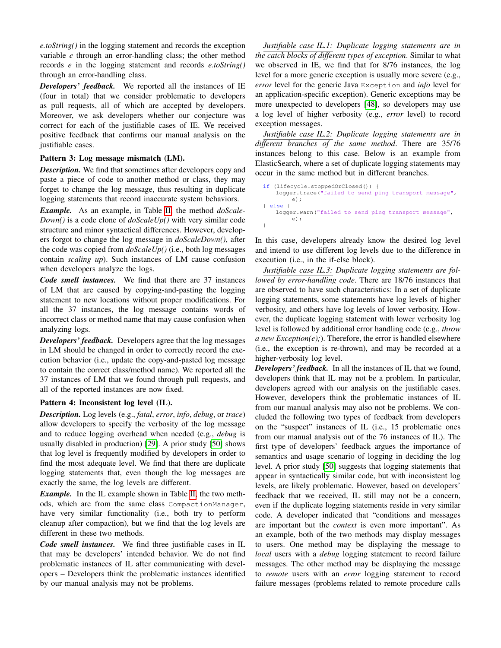*e.toString()* in the logging statement and records the exception variable *e* through an error-handling class; the other method records *e* in the logging statement and records *e.toString()* through an error-handling class.

*Developers' feedback.* We reported all the instances of IE (four in total) that we consider problematic to developers as pull requests, all of which are accepted by developers. Moreover, we ask developers whether our conjecture was correct for each of the justifiable cases of IE. We received positive feedback that confirms our manual analysis on the justifiable cases.

### Pattern 3: Log message mismatch (LM).

*Description.* We find that sometimes after developers copy and paste a piece of code to another method or class, they may forget to change the log message, thus resulting in duplicate logging statements that record inaccurate system behaviors.

*Example.* As an example, in Table [II,](#page-3-0) the method *doScale-Down()* is a code clone of *doScaleUp()* with very similar code structure and minor syntactical differences. However, developers forgot to change the log message in *doScaleDown()*, after the code was copied from *doScaleUp()* (i.e., both log messages contain *scaling up*). Such instances of LM cause confusion when developers analyze the logs.

*Code smell instances.* We find that there are 37 instances of LM that are caused by copying-and-pasting the logging statement to new locations without proper modifications. For all the 37 instances, the log message contains words of incorrect class or method name that may cause confusion when analyzing logs.

*Developers' feedback.* Developers agree that the log messages in LM should be changed in order to correctly record the execution behavior (i.e., update the copy-and-pasted log message to contain the correct class/method name). We reported all the 37 instances of LM that we found through pull requests, and all of the reported instances are now fixed.

### Pattern 4: Inconsistent log level (IL).

*Description.* Log levels (e.g., *fatal*, *error*, *info*, *debug*, or *trace*) allow developers to specify the verbosity of the log message and to reduce logging overhead when needed (e.g., *debug* is usually disabled in production) [\[29\]](#page-10-17). A prior study [\[50\]](#page-11-5) shows that log level is frequently modified by developers in order to find the most adequate level. We find that there are duplicate logging statements that, even though the log messages are exactly the same, the log levels are different.

*Example.* In the IL example shown in Table [II,](#page-3-0) the two methods, which are from the same class CompactionManager, have very similar functionality (i.e., both try to perform cleanup after compaction), but we find that the log levels are different in these two methods.

*Code smell instances.* We find three justifiable cases in IL that may be developers' intended behavior. We do not find problematic instances of IL after communicating with developers – Developers think the problematic instances identified by our manual analysis may not be problems.

*Justifiable case IL.1: Duplicate logging statements are in the catch blocks of different types of exception*. Similar to what we observed in IE, we find that for 8/76 instances, the log level for a more generic exception is usually more severe (e.g., *error* level for the generic Java Exception and *info* level for an application-specific exception). Generic exceptions may be more unexpected to developers [\[48\]](#page-11-6), so developers may use a log level of higher verbosity (e.g., *error* level) to record exception messages.

*Justifiable case IL.2: Duplicate logging statements are in different branches of the same method*. There are 35/76 instances belong to this case. Below is an example from ElasticSearch, where a set of duplicate logging statements may occur in the same method but in different branches.

```
if (lifecycle.stoppedOrClosed()) {
   logger.trace("failed to send ping transport message",
       e);
} else {
   logger.warn("failed to send ping transport message",
        e);
}
```
In this case, developers already know the desired log level and intend to use different log levels due to the difference in execution (i.e., in the if-else block).

*Justifiable case IL.3: Duplicate logging statements are followed by error-handling code*. There are 18/76 instances that are observed to have such characteristics: In a set of duplicate logging statements, some statements have log levels of higher verbosity, and others have log levels of lower verbosity. However, the duplicate logging statement with lower verbosity log level is followed by additional error handling code (e.g., *throw a new Exception(e);*). Therefore, the error is handled elsewhere (i.e., the exception is re-thrown), and may be recorded at a higher-verbosity log level.

*Developers' feedback.* In all the instances of IL that we found, developers think that IL may not be a problem. In particular, developers agreed with our analysis on the justifiable cases. However, developers think the problematic instances of IL from our manual analysis may also not be problems. We concluded the following two types of feedback from developers on the "suspect" instances of IL (i.e., 15 problematic ones from our manual analysis out of the 76 instances of IL). The first type of developers' feedback argues the importance of semantics and usage scenario of logging in deciding the log level. A prior study [\[50\]](#page-11-5) suggests that logging statements that appear in syntactically similar code, but with inconsistent log levels, are likely problematic. However, based on developers' feedback that we received, IL still may not be a concern, even if the duplicate logging statements reside in very similar code. A developer indicated that "conditions and messages are important but the *context* is even more important". As an example, both of the two methods may display messages to users. One method may be displaying the message to *local* users with a *debug* logging statement to record failure messages. The other method may be displaying the message to *remote* users with an *error* logging statement to record failure messages (problems related to remote procedure calls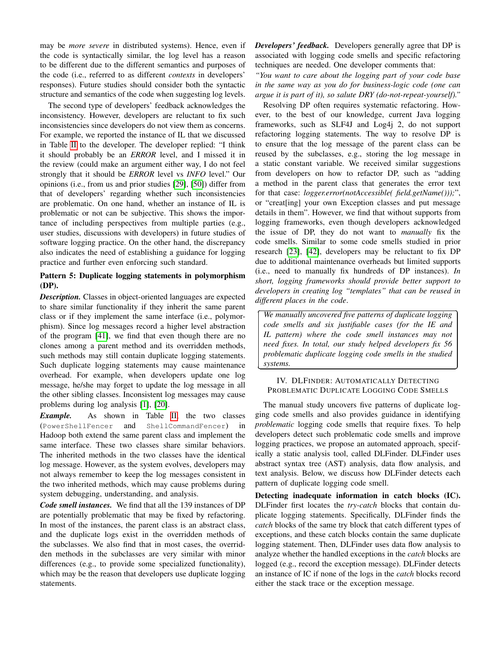may be *more severe* in distributed systems). Hence, even if the code is syntactically similar, the log level has a reason to be different due to the different semantics and purposes of the code (i.e., referred to as different *contexts* in developers' responses). Future studies should consider both the syntactic structure and semantics of the code when suggesting log levels.

The second type of developers' feedback acknowledges the inconsistency. However, developers are reluctant to fix such inconsistencies since developers do not view them as concerns. For example, we reported the instance of IL that we discussed in Table [II](#page-3-0) to the developer. The developer replied: "I think it should probably be an *ERROR* level, and I missed it in the review (could make an argument either way, I do not feel strongly that it should be *ERROR* level vs *INFO* level." Our opinions (i.e., from us and prior studies [\[29\]](#page-10-17), [\[50\]](#page-11-5)) differ from that of developers' regarding whether such inconsistencies are problematic. On one hand, whether an instance of IL is problematic or not can be subjective. This shows the importance of including perspectives from multiple parties (e.g., user studies, discussions with developers) in future studies of software logging practice. On the other hand, the discrepancy also indicates the need of establishing a guidance for logging practice and further even enforcing such standard.

# Pattern 5: Duplicate logging statements in polymorphism (DP).

*Description.* Classes in object-oriented languages are expected to share similar functionality if they inherit the same parent class or if they implement the same interface (i.e., polymorphism). Since log messages record a higher level abstraction of the program [\[41\]](#page-10-5), we find that even though there are no clones among a parent method and its overridden methods, such methods may still contain duplicate logging statements. Such duplicate logging statements may cause maintenance overhead. For example, when developers update one log message, he/she may forget to update the log message in all the other sibling classes. Inconsistent log messages may cause problems during log analysis [\[1\]](#page-10-22), [\[20\]](#page-10-14).

*Example.* As shown in Table [II,](#page-3-0) the two classes (PowerShellFencer and ShellCommandFencer) in Hadoop both extend the same parent class and implement the same interface. These two classes share similar behaviors. The inherited methods in the two classes have the identical log message. However, as the system evolves, developers may not always remember to keep the log messages consistent in the two inherited methods, which may cause problems during system debugging, understanding, and analysis.

*Code smell instances.* We find that all the 139 instances of DP are potentially problematic that may be fixed by refactoring. In most of the instances, the parent class is an abstract class, and the duplicate logs exist in the overridden methods of the subclasses. We also find that in most cases, the overridden methods in the subclasses are very similar with minor differences (e.g., to provide some specialized functionality), which may be the reason that developers use duplicate logging statements.

*Developers' feedback.* Developers generally agree that DP is associated with logging code smells and specific refactoring techniques are needed. One developer comments that:

*"You want to care about the logging part of your code base in the same way as you do for business-logic code (one can argue it is part of it), so salute DRY (do-not-repeat-yourself)."*

Resolving DP often requires systematic refactoring. However, to the best of our knowledge, current Java logging frameworks, such as SLF4J and Log4j 2, do not support refactoring logging statements. The way to resolve DP is to ensure that the log message of the parent class can be reused by the subclasses, e.g., storing the log message in a static constant variable. We received similar suggestions from developers on how to refactor DP, such as "adding a method in the parent class that generates the error text for that case: *logger.error(notAccessible( field.getName()));*", or "creat[ing] your own Exception classes and put message details in them". However, we find that without supports from logging frameworks, even though developers acknowledged the issue of DP, they do not want to *manually* fix the code smells. Similar to some code smells studied in prior research [\[23\]](#page-10-23), [\[42\]](#page-10-24), developers may be reluctant to fix DP due to additional maintenance overheads but limited supports (i.e., need to manually fix hundreds of DP instances). *In short, logging frameworks should provide better support to developers in creating log "templates" that can be reused in different places in the code*.

✄  $\overline{a}$ *We manually uncovered five patterns of duplicate logging code smells and six justifiable cases (for the IE and IL pattern) where the code smell instances may not need fixes. In total, our study helped developers fix 56 problematic duplicate logging code smells in the studied systems.*

Ĭ.

l.

## <span id="page-6-0"></span>IV. DLFINDER: AUTOMATICALLY DETECTING PROBLEMATIC DUPLICATE LOGGING CODE SMELLS

The manual study uncovers five patterns of duplicate logging code smells and also provides guidance in identifying *problematic* logging code smells that require fixes. To help developers detect such problematic code smells and improve logging practices, we propose an automated approach, specifically a static analysis tool, called DLFinder. DLFinder uses abstract syntax tree (AST) analysis, data flow analysis, and text analysis. Below, we discuss how DLFinder detects each pattern of duplicate logging code smell.

Detecting inadequate information in catch blocks (IC). DLFinder first locates the *try-catch* blocks that contain duplicate logging statements. Specifically, DLFinder finds the *catch* blocks of the same try block that catch different types of exceptions, and these catch blocks contain the same duplicate logging statement. Then, DLFinder uses data flow analysis to analyze whether the handled exceptions in the *catch* blocks are logged (e.g., record the exception message). DLFinder detects an instance of IC if none of the logs in the *catch* blocks record either the stack trace or the exception message.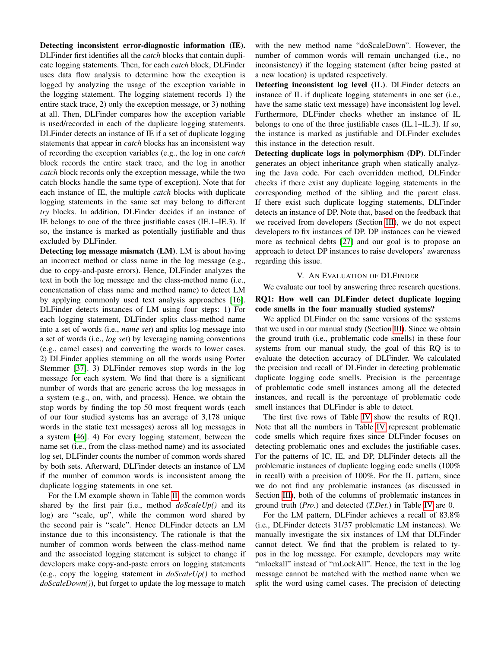Detecting inconsistent error-diagnostic information (IE). DLFinder first identifies all the *catch* blocks that contain duplicate logging statements. Then, for each *catch* block, DLFinder uses data flow analysis to determine how the exception is logged by analyzing the usage of the exception variable in the logging statement. The logging statement records 1) the entire stack trace, 2) only the exception message, or 3) nothing at all. Then, DLFinder compares how the exception variable is used/recorded in each of the duplicate logging statements. DLFinder detects an instance of IE if a set of duplicate logging statements that appear in *catch* blocks has an inconsistent way of recording the exception variables (e.g., the log in one *catch* block records the entire stack trace, and the log in another *catch* block records only the exception message, while the two catch blocks handle the same type of exception). Note that for each instance of IE, the multiple *catch* blocks with duplicate logging statements in the same set may belong to different *try* blocks. In addition, DLFinder decides if an instance of IE belongs to one of the three justifiable cases (IE.1–IE.3). If so, the instance is marked as potentially justifiable and thus excluded by DLFinder.

Detecting log message mismatch (LM). LM is about having an incorrect method or class name in the log message (e.g., due to copy-and-paste errors). Hence, DLFinder analyzes the text in both the log message and the class-method name (i.e., concatenation of class name and method name) to detect LM by applying commonly used text analysis approaches [\[16\]](#page-10-25). DLFinder detects instances of LM using four steps: 1) For each logging statement, DLFinder splits class-method name into a set of words (i.e., *name set*) and splits log message into a set of words (i.e., *log set*) by leveraging naming conventions (e.g., camel cases) and converting the words to lower cases. 2) DLFinder applies stemming on all the words using Porter Stemmer [\[37\]](#page-10-26). 3) DLFinder removes stop words in the log message for each system. We find that there is a significant number of words that are generic across the log messages in a system (e.g., on, with, and process). Hence, we obtain the stop words by finding the top 50 most frequent words (each of our four studied systems has an average of 3,178 unique words in the static text messages) across all log messages in a system [\[46\]](#page-11-7). 4) For every logging statement, between the name set (i.e., from the class-method name) and its associated log set, DLFinder counts the number of common words shared by both sets. Afterward, DLFinder detects an instance of LM if the number of common words is inconsistent among the duplicate logging statements in one set.

For the LM example shown in Table [II,](#page-3-0) the common words shared by the first pair (i.e., method *doScaleUp()* and its log) are "scale, up", while the common word shared by the second pair is "scale". Hence DLFinder detects an LM instance due to this inconsistency. The rationale is that the number of common words between the class-method name and the associated logging statement is subject to change if developers make copy-and-paste errors on logging statements (e.g., copy the logging statement in *doScaleUp()* to method *doScaleDown()*), but forget to update the log message to match

with the new method name "doScaleDown". However, the number of common words will remain unchanged (i.e., no inconsistency) if the logging statement (after being pasted at a new location) is updated respectively.

Detecting inconsistent log level (IL). DLFinder detects an instance of IL if duplicate logging statements in one set (i.e., have the same static text message) have inconsistent log level. Furthermore, DLFinder checks whether an instance of IL belongs to one of the three justifiable cases (IL.1–IL.3). If so, the instance is marked as justifiable and DLFinder excludes this instance in the detection result.

Detecting duplicate logs in polymorphism (DP). DLFinder generates an object inheritance graph when statically analyzing the Java code. For each overridden method, DLFinder checks if there exist any duplicate logging statements in the corresponding method of the sibling and the parent class. If there exist such duplicate logging statements, DLFinder detects an instance of DP. Note that, based on the feedback that we received from developers (Section [III\)](#page-2-0), we do not expect developers to fix instances of DP. DP instances can be viewed more as technical debts [\[27\]](#page-10-27) and our goal is to propose an approach to detect DP instances to raise developers' awareness regarding this issue.

#### V. AN EVALUATION OF DLFINDER

<span id="page-7-0"></span>We evaluate our tool by answering three research questions. RQ1: How well can DLFinder detect duplicate logging code smells in the four manually studied systems?

We applied DLFinder on the same versions of the systems that we used in our manual study (Section [III\)](#page-2-0). Since we obtain the ground truth (i.e., problematic code smells) in these four systems from our manual study, the goal of this RQ is to evaluate the detection accuracy of DLFinder. We calculated the precision and recall of DLFinder in detecting problematic duplicate logging code smells. Precision is the percentage of problematic code smell instances among all the detected instances, and recall is the percentage of problematic code smell instances that DLFinder is able to detect.

The first five rows of Table [IV](#page-8-1) show the results of RQ1. Note that all the numbers in Table [IV](#page-8-1) represent problematic code smells which require fixes since DLFinder focuses on detecting problematic ones and excludes the justifiable cases. For the patterns of IC, IE, and DP, DLFinder detects all the problematic instances of duplicate logging code smells (100% in recall) with a precision of 100%. For the IL pattern, since we do not find any problematic instances (as discussed in Section [III\)](#page-2-0), both of the columns of problematic instances in ground truth (*Pro.*) and detected (*T.Det.*) in Table [IV](#page-8-1) are 0.

For the LM pattern, DLFinder achieves a recall of 83.8% (i.e., DLFinder detects 31/37 problematic LM instances). We manually investigate the six instances of LM that DLFinder cannot detect. We find that the problem is related to typos in the log message. For example, developers may write "mlockall" instead of "mLockAll". Hence, the text in the log message cannot be matched with the method name when we split the word using camel cases. The precision of detecting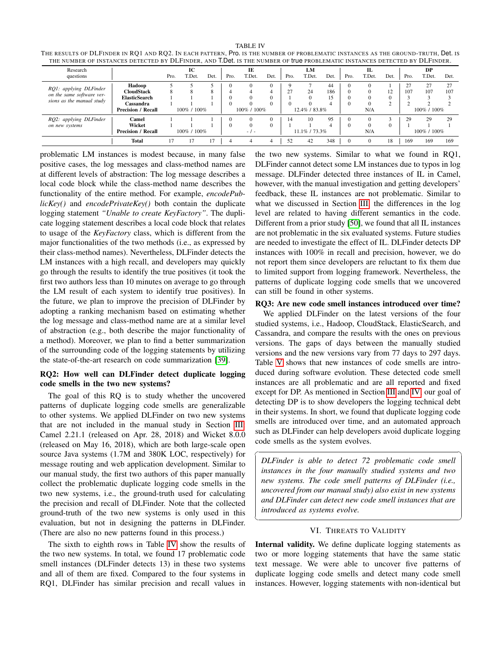<span id="page-8-1"></span>

| <b>TABLE IV</b>                                                                                                                   |
|-----------------------------------------------------------------------------------------------------------------------------------|
| THE RESULTS OF DLFINDER IN RO1 AND RO2. IN EACH PATTERN, Pro. IS THE NUMBER OF PROBLEMATIC INSTANCES AS THE GROUND-TRUTH, Det. IS |
| THE NUMBER OF INSTANCES DETECTED BY DLFINDER, AND T.Det. IS THE NUMBER OF true PROBLEMATIC INSTANCES DETECTED BY DLFINDER.        |

| Research                                               |                           |             | IC          |      |             | IE       |               |               | LM       |      |          | П.       |             |      | DP     |      |
|--------------------------------------------------------|---------------------------|-------------|-------------|------|-------------|----------|---------------|---------------|----------|------|----------|----------|-------------|------|--------|------|
| questions                                              |                           | Pro.        | T.Det.      | Det. | Pro.        | T.Det.   | Det.          | Pro.          | T.Det.   | Det. | Pro.     | T.Det.   | Det.        | Pro. | T.Det. | Det. |
|                                                        | Hadoop                    |             |             |      |             | $\Omega$ |               | $\Omega$      |          | 44   | $\Omega$ |          |             | 27   | 27     | 27   |
| RQ1: applying DLFinder                                 | <b>CloudStack</b>         |             |             | 8    |             |          |               | 27            | 24       | 186  | $\Omega$ | $\Omega$ | 12          | 107  | 107    | 107  |
| on the same software ver-<br>sions as the manual study | <b>ElasticSearch</b>      |             |             |      |             |          |               |               | $\Omega$ | 15   |          |          |             |      |        |      |
|                                                        | Cassandra                 |             |             |      |             |          |               |               | $\Omega$ | 4    |          |          |             |      |        |      |
|                                                        | <b>Precision / Recall</b> | 100% / 100% |             |      | 100% / 100% |          | 12.4% / 83.8% |               |          | N/A  |          |          | 100% / 100% |      |        |      |
| RQ2: applying DLFinder                                 | Camel                     |             |             |      |             |          |               | 14            | 10       | 95   | $\Omega$ |          |             | 29   | 29     | 29   |
| on new systems                                         | Wicket                    |             |             |      |             |          |               |               |          |      |          |          |             |      |        |      |
|                                                        | <b>Precision / Recall</b> |             | 100% / 100% |      |             | $-1 -$   |               | 11.1% / 73.3% |          | N/A  |          |          | 100% / 100% |      |        |      |
|                                                        | <b>Total</b>              |             |             |      | 4           |          | 4             | 52            | 42       | 348  | $\Omega$ | $\Omega$ | 18          | 169  | 169    | 169  |

 $\overline{a}$ 

<span id="page-8-0"></span>✝

problematic LM instances is modest because, in many false positive cases, the log messages and class-method names are at different levels of abstraction: The log message describes a local code block while the class-method name describes the functionality of the entire method. For example, *encodePublicKey()* and *encodePrivateKey()* both contain the duplicate logging statement *"Unable to create KeyFactory"*. The duplicate logging statement describes a local code block that relates to usage of the *KeyFactory* class, which is different from the major functionalities of the two methods (i.e., as expressed by their class-method names). Nevertheless, DLFinder detects the LM instances with a high recall, and developers may quickly go through the results to identify the true positives (it took the first two authors less than 10 minutes on average to go through the LM result of each system to identify true positives). In the future, we plan to improve the precision of DLFinder by adopting a ranking mechanism based on estimating whether the log message and class-method name are at a similar level of abstraction (e.g., both describe the major functionality of a method). Moreover, we plan to find a better summarization of the surrounding code of the logging statements by utilizing the state-of-the-art research on code summarization [\[39\]](#page-10-28).

# RQ2: How well can DLFinder detect duplicate logging code smells in the two new systems?

The goal of this RQ is to study whether the uncovered patterns of duplicate logging code smells are generalizable to other systems. We applied DLFinder on two new systems that are not included in the manual study in Section [III:](#page-2-0) Camel 2.21.1 (released on Apr. 28, 2018) and Wicket 8.0.0 (released on May 16, 2018), which are both large-scale open source Java systems (1.7M and 380K LOC, respectively) for message routing and web application development. Similar to our manual study, the first two authors of this paper manually collect the problematic duplicate logging code smells in the two new systems, i.e., the ground-truth used for calculating the precision and recall of DLFinder. Note that the collected ground-truth of the two new systems is only used in this evaluation, but not in designing the patterns in DLFinder. (There are also no new patterns found in this process.)

The sixth to eighth rows in Table [IV](#page-8-1) show the results of the two new systems. In total, we found 17 problematic code smell instances (DLFinder detects 13) in these two systems and all of them are fixed. Compared to the four systems in RQ1, DLFinder has similar precision and recall values in the two new systems. Similar to what we found in RQ1, DLFinder cannot detect some LM instances due to typos in log message. DLFinder detected three instances of IL in Camel, however, with the manual investigation and getting developers' feedback, these IL instances are not problematic. Similar to what we discussed in Section [III,](#page-2-0) the differences in the log level are related to having different semantics in the code. Different from a prior study [\[50\]](#page-11-5), we found that all IL instances are not problematic in the six evaluated systems. Future studies are needed to investigate the effect of IL. DLFinder detects DP instances with 100% in recall and precision, however, we do not report them since developers are reluctant to fix them due to limited support from logging framework. Nevertheless, the patterns of duplicate logging code smells that we uncovered can still be found in other systems.

#### RQ3: Are new code smell instances introduced over time?

We applied DLFinder on the latest versions of the four studied systems, i.e., Hadoop, CloudStack, ElasticSearch, and Cassandra, and compare the results with the ones on previous versions. The gaps of days between the manually studied versions and the new versions vary from 77 days to 297 days. Table [V](#page-9-2) shows that new instances of code smells are introduced during software evolution. These detected code smell instances are all problematic and are all reported and fixed except for DP. As mentioned in Section [III](#page-2-0) and [IV,](#page-6-0) our goal of detecting DP is to show developers the logging technical debt in their systems. In short, we found that duplicate logging code smells are introduced over time, and an automated approach such as DLFinder can help developers avoid duplicate logging code smells as the system evolves.

*DLFinder is able to detect 72 problematic code smell instances in the four manually studied systems and two new systems. The code smell patterns of DLFinder (i.e., uncovered from our manual study) also exist in new systems and DLFinder can detect new code smell instances that are introduced as systems evolve.*

☎

✆

## VI. THREATS TO VALIDITY

Internal validity. We define duplicate logging statements as two or more logging statements that have the same static text message. We were able to uncover five patterns of duplicate logging code smells and detect many code smell instances. However, logging statements with non-identical but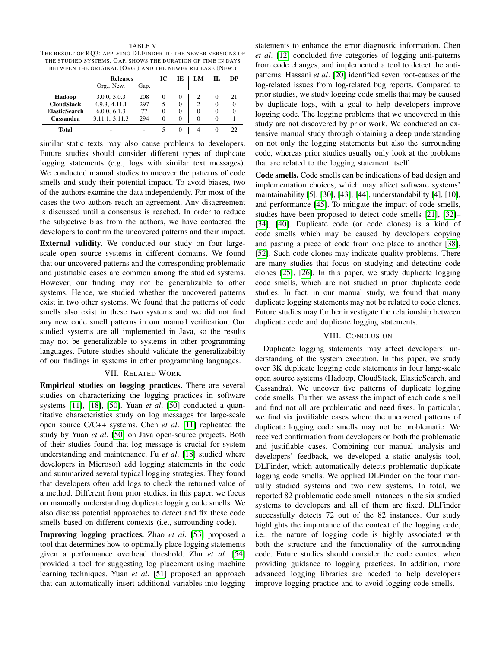<span id="page-9-2"></span>TABLE V THE RESULT OF RQ3: APPLYING DLFINDER TO THE NEWER VERSIONS OF THE STUDIED SYSTEMS. GAP. SHOWS THE DURATION OF TIME IN DAYS BETWEEN THE ORIGINAL (ORG.) AND THE NEWER RELEASE (NEW.)

| ------               |                               |      |          |          |               |          |          |  |  |  |  |  |
|----------------------|-------------------------------|------|----------|----------|---------------|----------|----------|--|--|--|--|--|
|                      | <b>Releases</b><br>Org., New. | IC   | IЕ       | LM       |               | DР       |          |  |  |  |  |  |
|                      |                               | Gap. |          |          |               |          |          |  |  |  |  |  |
| Hadoop               | 3.0.0, 3.0.3                  | 208  | 0        | 0        |               | O        | 21       |  |  |  |  |  |
| <b>CloudStack</b>    | 4.9.3, 4.11.1                 | 297  | 5        | $\Omega$ | $\mathcal{D}$ | $\theta$ | $\Omega$ |  |  |  |  |  |
| <b>ElasticSearch</b> | 6.0.0, 6.1.3                  | 77   | $\Omega$ | $\theta$ | $\Omega$      | $\theta$ | $\Omega$ |  |  |  |  |  |
| Cassandra            | 3.11.1, 3.11.3                | 294  | $\Omega$ | $\Omega$ | $\Omega$      | $\Omega$ |          |  |  |  |  |  |
| <b>Total</b>         |                               |      |          | $^{(1)}$ |               |          |          |  |  |  |  |  |

similar static texts may also cause problems to developers. Future studies should consider different types of duplicate logging statements (e.g., logs with similar text messages). We conducted manual studies to uncover the patterns of code smells and study their potential impact. To avoid biases, two of the authors examine the data independently. For most of the cases the two authors reach an agreement. Any disagreement is discussed until a consensus is reached. In order to reduce the subjective bias from the authors, we have contacted the developers to confirm the uncovered patterns and their impact.

External validity. We conducted our study on four largescale open source systems in different domains. We found that our uncovered patterns and the corresponding problematic and justifiable cases are common among the studied systems. However, our finding may not be generalizable to other systems. Hence, we studied whether the uncovered patterns exist in two other systems. We found that the patterns of code smells also exist in these two systems and we did not find any new code smell patterns in our manual verification. Our studied systems are all implemented in Java, so the results may not be generalizable to systems in other programming languages. Future studies should validate the generalizability of our findings in systems in other programming languages.

#### VII. RELATED WORK

<span id="page-9-0"></span>Empirical studies on logging practices. There are several studies on characterizing the logging practices in software systems [\[11\]](#page-10-29), [\[18\]](#page-10-0), [\[50\]](#page-11-5). Yuan *et al*. [\[50\]](#page-11-5) conducted a quantitative characteristics study on log messages for large-scale open source C/C++ systems. Chen *et al*. [\[11\]](#page-10-29) replicated the study by Yuan *et al*. [\[50\]](#page-11-5) on Java open-source projects. Both of their studies found that log message is crucial for system understanding and maintenance. Fu *et al*. [\[18\]](#page-10-0) studied where developers in Microsoft add logging statements in the code and summarized several typical logging strategies. They found that developers often add logs to check the returned value of a method. Different from prior studies, in this paper, we focus on manually understanding duplicate logging code smells. We also discuss potential approaches to detect and fix these code smells based on different contexts (i.e., surrounding code).

Improving logging practices. Zhao *et al*. [\[53\]](#page-11-3) proposed a tool that determines how to optimally place logging statements given a performance overhead threshold. Zhu *et al*. [\[54\]](#page-11-4) provided a tool for suggesting log placement using machine learning techniques. Yuan *et al*. [\[51\]](#page-11-1) proposed an approach that can automatically insert additional variables into logging statements to enhance the error diagnostic information. Chen *et al*. [\[12\]](#page-10-13) concluded five categories of logging anti-patterns from code changes, and implemented a tool to detect the antipatterns. Hassani *et al*. [\[20\]](#page-10-14) identified seven root-causes of the log-related issues from log-related bug reports. Compared to prior studies, we study logging code smells that may be caused by duplicate logs, with a goal to help developers improve logging code. The logging problems that we uncovered in this study are not discovered by prior work. We conducted an extensive manual study through obtaining a deep understanding on not only the logging statements but also the surrounding code, whereas prior studies usually only look at the problems that are related to the logging statement itself.

Code smells. Code smells can be indications of bad design and implementation choices, which may affect software systems' maintainability [\[5\]](#page-10-30), [\[30\]](#page-10-31), [\[43\]](#page-10-32), [\[44\]](#page-10-33), understandability [\[4\]](#page-10-34), [\[10\]](#page-10-35), and performance [\[45\]](#page-11-8). To mitigate the impact of code smells, studies have been proposed to detect code smells [\[21\]](#page-10-36), [\[32\]](#page-10-37)– [\[34\]](#page-10-38), [\[40\]](#page-10-39). Duplicate code (or code clones) is a kind of code smells which may be caused by developers copying and pasting a piece of code from one place to another [\[38\]](#page-10-40), [\[52\]](#page-11-9). Such code clones may indicate quality problems. There are many studies that focus on studying and detecting code clones [\[25\]](#page-10-41), [\[26\]](#page-10-42). In this paper, we study duplicate logging code smells, which are not studied in prior duplicate code studies. In fact, in our manual study, we found that many duplicate logging statements may not be related to code clones. Future studies may further investigate the relationship between duplicate code and duplicate logging statements.

#### VIII. CONCLUSION

<span id="page-9-1"></span>Duplicate logging statements may affect developers' understanding of the system execution. In this paper, we study over 3K duplicate logging code statements in four large-scale open source systems (Hadoop, CloudStack, ElasticSearch, and Cassandra). We uncover five patterns of duplicate logging code smells. Further, we assess the impact of each code smell and find not all are problematic and need fixes. In particular, we find six justifiable cases where the uncovered patterns of duplicate logging code smells may not be problematic. We received confirmation from developers on both the problematic and justifiable cases. Combining our manual analysis and developers' feedback, we developed a static analysis tool, DLFinder, which automatically detects problematic duplicate logging code smells. We applied DLFinder on the four manually studied systems and two new systems. In total, we reported 82 problematic code smell instances in the six studied systems to developers and all of them are fixed. DLFinder successfully detects 72 out of the 82 instances. Our study highlights the importance of the context of the logging code, i.e., the nature of logging code is highly associated with both the structure and the functionality of the surrounding code. Future studies should consider the code context when providing guidance to logging practices. In addition, more advanced logging libraries are needed to help developers improve logging practice and to avoid logging code smells.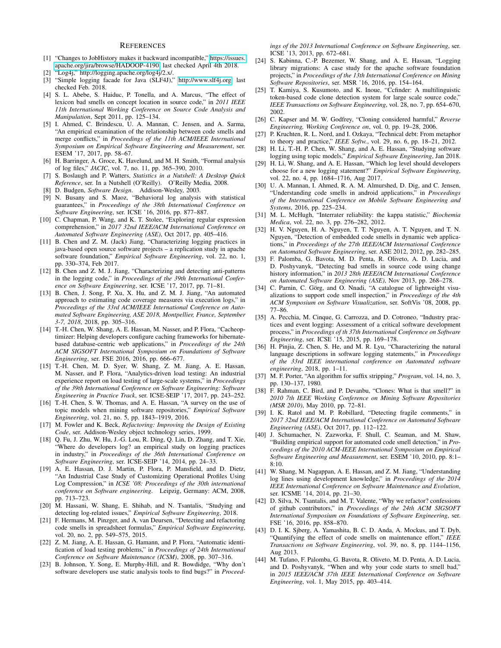#### **REFERENCES**

- <span id="page-10-22"></span>[1] "Changes to JobHistory makes it backward incompatible," [https://issues.](https://issues.apache.org/jira/browse/HADOOP-4190) [apache.org/jira/browse/HADOOP-4190,](https://issues.apache.org/jira/browse/HADOOP-4190) last checked April 4th 2018.
- <span id="page-10-9"></span>"Log4j," http://logging.apache.org/log4j/2.x/.
- <span id="page-10-19"></span>[3] "Simple logging facade for Java (SLF4J)," [http://www.slf4j.org,](http://www.slf4j.org) last checked Feb. 2018.
- <span id="page-10-34"></span>[4] S. L. Abebe, S. Haiduc, P. Tonella, and A. Marcus, "The effect of lexicon bad smells on concept location in source code," in *2011 IEEE 11th International Working Conference on Source Code Analysis and Manipulation*, Sept 2011, pp. 125–134.
- <span id="page-10-30"></span>[5] I. Ahmed, C. Brindescu, U. A. Mannan, C. Jensen, and A. Sarma, "An empirical examination of the relationship between code smells and merge conflicts," in *Proceedings of the 11th ACM/IEEE International Symposium on Empirical Software Engineering and Measurement*, ser. ESEM '17, 2017, pp. 58–67.
- <span id="page-10-6"></span>[6] H. Barringer, A. Groce, K. Havelund, and M. H. Smith, "Formal analysis of log files," *JACIC*, vol. 7, no. 11, pp. 365–390, 2010.
- <span id="page-10-20"></span>[7] S. Boslaugh and P. Watters, *Statistics in a Nutshell: A Desktop Quick Reference*, ser. In a Nutshell (O'Reilly). O'Reilly Media, 2008.
- <span id="page-10-15"></span>[8] D. Budgen, *Software Design*. Addison-Wesley, 2003.
- <span id="page-10-7"></span>[9] N. Busany and S. Maoz, "Behavioral log analysis with statistical guarantees," in *Proceedings of the 38th International Conference on Software Engineering*, ser. ICSE '16, 2016, pp. 877–887.
- <span id="page-10-35"></span>[10] C. Chapman, P. Wang, and K. T. Stolee, "Exploring regular expression comprehension," in *2017 32nd IEEE/ACM International Conference on Automated Software Engineering (ASE)*, Oct 2017, pp. 405–416.
- <span id="page-10-29"></span>[11] B. Chen and Z. M. (Jack) Jiang, "Characterizing logging practices in java-based open source software projects – a replication study in apache software foundation," *Empirical Software Engineering*, vol. 22, no. 1, pp. 330–374, Feb 2017.
- <span id="page-10-13"></span>[12] B. Chen and Z. M. J. Jiang, "Characterizing and detecting anti-patterns in the logging code," in *Proceedings of the 39th International Conference on Software Engineering*, ser. ICSE '17, 2017, pp. 71–81.
- <span id="page-10-1"></span>[13] B. Chen, J. Song, P. Xu, X. Hu, and Z. M. J. Jiang, "An automated approach to estimating code coverage measures via execution logs," in *Proceedings of the 33rd ACM/IEEE International Conference on Automated Software Engineering, ASE 2018, Montpellier, France, September 3-7, 2018*, 2018, pp. 305–316.
- <span id="page-10-8"></span>[14] T.-H. Chen, W. Shang, A. E. Hassan, M. Nasser, and P. Flora, "Cacheoptimizer: Helping developers configure caching frameworks for hibernatebased database-centric web applications," in *Proceedings of the 24th ACM SIGSOFT International Symposium on Foundations of Software Engineering*, ser. FSE 2016, 2016, pp. 666–677.
- <span id="page-10-2"></span>[15] T.-H. Chen, M. D. Syer, W. Shang, Z. M. Jiang, A. E. Hassan, M. Nasser, and P. Flora, "Analytics-driven load testing: An industrial experience report on load testing of large-scale systems," in *Proceedings of the 39th International Conference on Software Engineering: Software Engineering in Practice Track*, ser. ICSE-SEIP '17, 2017, pp. 243–252.
- <span id="page-10-25"></span>[16] T.-H. Chen, S. W. Thomas, and A. E. Hassan, "A survey on the use of topic models when mining software repositories," *Empirical Software Engineering*, vol. 21, no. 5, pp. 1843–1919, 2016.
- <span id="page-10-16"></span>[17] M. Fowler and K. Beck, *Refactoring: Improving the Design of Existing Code*, ser. Addison-Wesley object technology series, 1999.
- <span id="page-10-0"></span>[18] Q. Fu, J. Zhu, W. Hu, J.-G. Lou, R. Ding, Q. Lin, D. Zhang, and T. Xie, "Where do developers log? an empirical study on logging practices in industry," in *Proceedings of the 36th International Conference on Software Engineering*, ser. ICSE-SEIP '14, 2014, pp. 24–33.
- <span id="page-10-4"></span>[19] A. E. Hassan, D. J. Martin, P. Flora, P. Mansfield, and D. Dietz, "An Industrial Case Study of Customizing Operational Profiles Using Log Compression," in *ICSE '08: Proceedings of the 30th international conference on Software engineering*. Leipzig, Germany: ACM, 2008, pp. 713–723.
- <span id="page-10-14"></span>[20] M. Hassani, W. Shang, E. Shihab, and N. Tsantalis, "Studying and detecting log-related issues," *Empirical Software Engineering*, 2018.
- <span id="page-10-36"></span>[21] F. Hermans, M. Pinzger, and A. van Deursen, "Detecting and refactoring code smells in spreadsheet formulas," *Empirical Software Engineering*, vol. 20, no. 2, pp. 549–575, 2015.
- <span id="page-10-3"></span>[22] Z. M. Jiang, A. E. Hassan, G. Hamann, and P. Flora, "Automatic identification of load testing problems," in *Proceedings of 24th International Conference on Software Maintenance (ICSM)*, 2008, pp. 307–316.
- <span id="page-10-23"></span>[23] B. Johnson, Y. Song, E. Murphy-Hill, and R. Bowdidge, "Why don't software developers use static analysis tools to find bugs?" in *Proceed-*

*ings of the 2013 International Conference on Software Engineering*, ser. ICSE '13, 2013, pp. 672–681.

- <span id="page-10-10"></span>[24] S. Kabinna, C.-P. Bezemer, W. Shang, and A. E. Hassan, "Logging library migrations: A case study for the apache software foundation projects," in *Proceedings of the 13th International Conference on Mining Software Repositories*, ser. MSR '16, 2016, pp. 154–164.
- <span id="page-10-41"></span>[25] T. Kamiya, S. Kusumoto, and K. Inoue, "Ccfinder: A multilinguistic token-based code clone detection system for large scale source code," *IEEE Transactions on Software Engineering*, vol. 28, no. 7, pp. 654–670, 2002.
- <span id="page-10-42"></span>[26] C. Kapser and M. W. Godfrey, "Cloning considered harmful," *Reverse Engineering, Working Conference on*, vol. 0, pp. 19–28, 2006.
- <span id="page-10-27"></span>[27] P. Kruchten, R. L. Nord, and I. Ozkaya, "Technical debt: From metaphor to theory and practice," *IEEE Softw.*, vol. 29, no. 6, pp. 18–21, 2012.
- <span id="page-10-18"></span>[28] H. Li, T.-H. P. Chen, W. Shang, and A. E. Hassan, "Studying software logging using topic models," *Empirical Software Engineering*, Jan 2018.
- <span id="page-10-17"></span>[29] H. Li, W. Shang, and A. E. Hassan, "Which log level should developers choose for a new logging statement?" *Empirical Software Engineering*, vol. 22, no. 4, pp. 1684–1716, Aug 2017.
- <span id="page-10-31"></span>[30] U. A. Mannan, I. Ahmed, R. A. M. Almurshed, D. Dig, and C. Jensen, "Understanding code smells in android applications," in *Proceedings of the International Conference on Mobile Software Engineering and Systems*, 2016, pp. 225–234.
- <span id="page-10-21"></span>[31] M. L. McHugh, "Interrater reliability: the kappa statistic," *Biochemia Medica*, vol. 22, no. 3, pp. 276–282, 2012.
- <span id="page-10-37"></span>[32] H. V. Nguyen, H. A. Nguyen, T. T. Nguyen, A. T. Nguyen, and T. N. Nguyen, "Detection of embedded code smells in dynamic web applications," in *Proceedings of the 27th IEEE/ACM International Conference on Automated Software Engineering*, ser. ASE 2012, 2012, pp. 282–285.
- [33] F. Palomba, G. Bavota, M. D. Penta, R. Oliveto, A. D. Lucia, and D. Poshyvanyk, "Detecting bad smells in source code using change history information," in *2013 28th IEEE/ACM International Conference on Automated Software Engineering (ASE)*, Nov 2013, pp. 268–278.
- <span id="page-10-38"></span>[34] C. Parnin, C. Görg, and O. Nnadi, "A catalogue of lightweight visualizations to support code smell inspection," in *Proceedings of the 4th ACM Symposium on Software Visualization*, ser. SoftVis '08, 2008, pp. 77–86.
- <span id="page-10-11"></span>[35] A. Pecchia, M. Cinque, G. Carrozza, and D. Cotroneo, "Industry practices and event logging: Assessment of a critical software development process," in *Proceedings of th 37th International Conference on Software Engineering*, ser. ICSE '15, 2015, pp. 169–178.
- <span id="page-10-12"></span>[36] H. Pinjia, Z. Chen, S. He, and M. R. Lyu, "Characterizing the natural language descriptions in software logging statements," in *Proceedings of the 33rd IEEE international conference on Automated software engineering*, 2018, pp. 1–11.
- <span id="page-10-26"></span>[37] M. F. Porter, "An algorithm for suffix stripping," *Program*, vol. 14, no. 3, pp. 130–137, 1980.
- <span id="page-10-40"></span>[38] F. Rahman, C. Bird, and P. Devanbu, "Clones: What is that smell?" in *2010 7th IEEE Working Conference on Mining Software Repositories (MSR 2010)*, May 2010, pp. 72–81.
- <span id="page-10-28"></span>[39] I. K. Ratol and M. P. Robillard, "Detecting fragile comments," in *2017 32nd IEEE/ACM International Conference on Automated Software Engineering (ASE)*, Oct 2017, pp. 112–122.
- <span id="page-10-39"></span>[40] J. Schumacher, N. Zazworka, F. Shull, C. Seaman, and M. Shaw, "Building empirical support for automated code smell detection," in *Proceedings of the 2010 ACM-IEEE International Symposium on Empirical Software Engineering and Measurement*, ser. ESEM '10, 2010, pp. 8:1– 8:10.
- <span id="page-10-5"></span>[41] W. Shang, M. Nagappan, A. E. Hassan, and Z. M. Jiang, "Understanding log lines using development knowledge," in *Proceedings of the 2014 IEEE International Conference on Software Maintenance and Evolution*, ser. ICSME '14, 2014, pp. 21–30.
- <span id="page-10-24"></span>[42] D. Silva, N. Tsantalis, and M. T. Valente, "Why we refactor? confessions of github contributors," in *Proceedings of the 24th ACM SIGSOFT International Symposium on Foundations of Software Engineering*, ser. FSE '16, 2016, pp. 858–870.
- <span id="page-10-32"></span>[43] D. I. K. Sjberg, A. Yamashita, B. C. D. Anda, A. Mockus, and T. Dyb, "Quantifying the effect of code smells on maintenance effort," *IEEE Transactions on Software Engineering*, vol. 39, no. 8, pp. 1144–1156, Aug 2013.
- <span id="page-10-33"></span>[44] M. Tufano, F. Palomba, G. Bavota, R. Oliveto, M. D. Penta, A. D. Lucia, and D. Poshyvanyk, "When and why your code starts to smell bad," in *2015 IEEE/ACM 37th IEEE International Conference on Software Engineering*, vol. 1, May 2015, pp. 403–414.